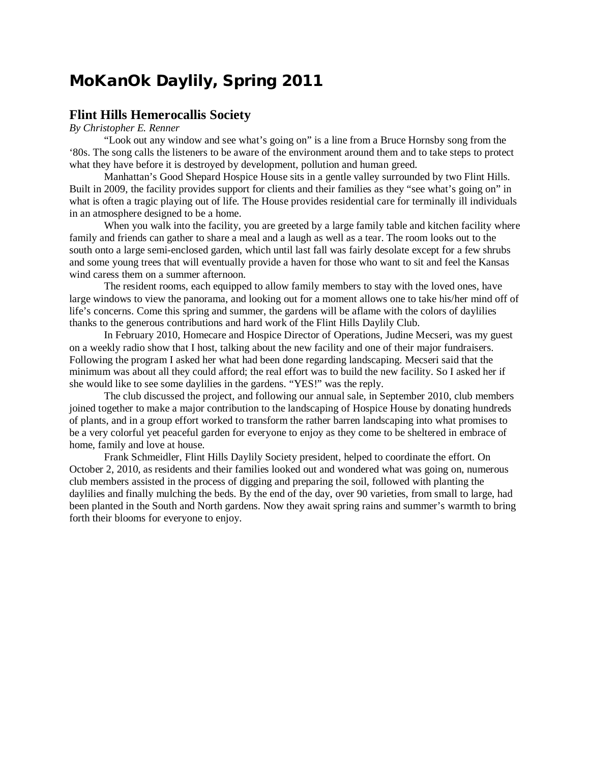# **MoKanOk Daylily, Spring 2011**

### **Flint Hills Hemerocallis Society**

#### *By Christopher E. Renner*

"Look out any window and see what's going on" is a line from a Bruce Hornsby song from the '80s. The song calls the listeners to be aware of the environment around them and to take steps to protect what they have before it is destroyed by development, pollution and human greed.

Manhattan's Good Shepard Hospice House sits in a gentle valley surrounded by two Flint Hills. Built in 2009, the facility provides support for clients and their families as they "see what's going on" in what is often a tragic playing out of life. The House provides residential care for terminally ill individuals in an atmosphere designed to be a home.

When you walk into the facility, you are greeted by a large family table and kitchen facility where family and friends can gather to share a meal and a laugh as well as a tear. The room looks out to the south onto a large semi-enclosed garden, which until last fall was fairly desolate except for a few shrubs and some young trees that will eventually provide a haven for those who want to sit and feel the Kansas wind caress them on a summer afternoon.

The resident rooms, each equipped to allow family members to stay with the loved ones, have large windows to view the panorama, and looking out for a moment allows one to take his/her mind off of life's concerns. Come this spring and summer, the gardens will be aflame with the colors of daylilies thanks to the generous contributions and hard work of the Flint Hills Daylily Club.

In February 2010, Homecare and Hospice Director of Operations, Judine Mecseri, was my guest on a weekly radio show that I host, talking about the new facility and one of their major fundraisers. Following the program I asked her what had been done regarding landscaping. Mecseri said that the minimum was about all they could afford; the real effort was to build the new facility. So I asked her if she would like to see some daylilies in the gardens. "YES!" was the reply.

The club discussed the project, and following our annual sale, in September 2010, club members joined together to make a major contribution to the landscaping of Hospice House by donating hundreds of plants, and in a group effort worked to transform the rather barren landscaping into what promises to be a very colorful yet peaceful garden for everyone to enjoy as they come to be sheltered in embrace of home, family and love at house.

Frank Schmeidler, Flint Hills Daylily Society president, helped to coordinate the effort. On October 2, 2010, as residents and their families looked out and wondered what was going on, numerous club members assisted in the process of digging and preparing the soil, followed with planting the daylilies and finally mulching the beds. By the end of the day, over 90 varieties, from small to large, had been planted in the South and North gardens. Now they await spring rains and summer's warmth to bring forth their blooms for everyone to enjoy.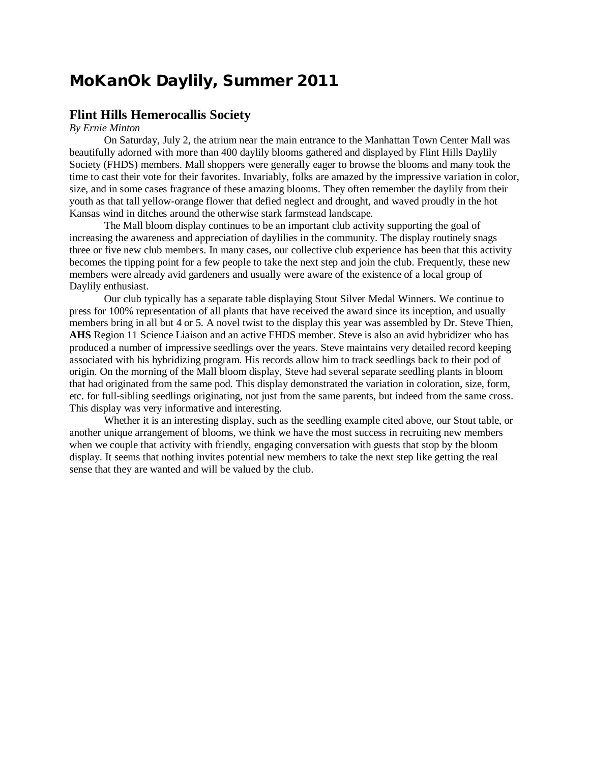## **MoKanOk Daylily, Summer 2011**

## **Flint Hills Hemerocallis Society**

### *By Ernie Minton*

On Saturday, July 2, the atrium near the main entrance to the Manhattan Town Center Mall was beautifully adorned with more than 400 daylily blooms gathered and displayed by Flint Hills Daylily Society (FHDS) members. Mall shoppers were generally eager to browse the blooms and many took the time to cast their vote for their favorites. Invariably, folks are amazed by the impressive variation in color, size, and in some cases fragrance of these amazing blooms. They often remember the daylily from their youth as that tall yellow-orange flower that defied neglect and drought, and waved proudly in the hot Kansas wind in ditches around the otherwise stark farmstead landscape.

The Mall bloom display continues to be an important club activity supporting the goal of increasing the awareness and appreciation of daylilies in the community. The display routinely snags three or five new club members. In many cases, our collective club experience has been that this activity becomes the tipping point for a few people to take the next step and join the club. Frequently, these new members were already avid gardeners and usually were aware of the existence of a local group of Daylily enthusiast.

Our club typically has a separate table displaying Stout Silver Medal Winners. We continue to press for 100% representation of all plants that have received the award since its inception, and usually members bring in all but 4 or 5. A novel twist to the display this year was assembled by Dr. Steve Thien, **AHS** Region 11 Science Liaison and an active FHDS member. Steve is also an avid hybridizer who has produced a number of impressive seedlings over the years. Steve maintains very detailed record keeping associated with his hybridizing program. His records allow him to track seedlings back to their pod of origin. On the morning of the Mall bloom display, Steve had several separate seedling plants in bloom that had originated from the same pod. This display demonstrated the variation in coloration, size, form, etc. for full-sibling seedlings originating, not just from the same parents, but indeed from the same cross. This display was very informative and interesting.

Whether it is an interesting display, such as the seedling example cited above, our Stout table, or another unique arrangement of blooms, we think we have the most success in recruiting new members when we couple that activity with friendly, engaging conversation with guests that stop by the bloom display. It seems that nothing invites potential new members to take the next step like getting the real sense that they are wanted and will be valued by the club.